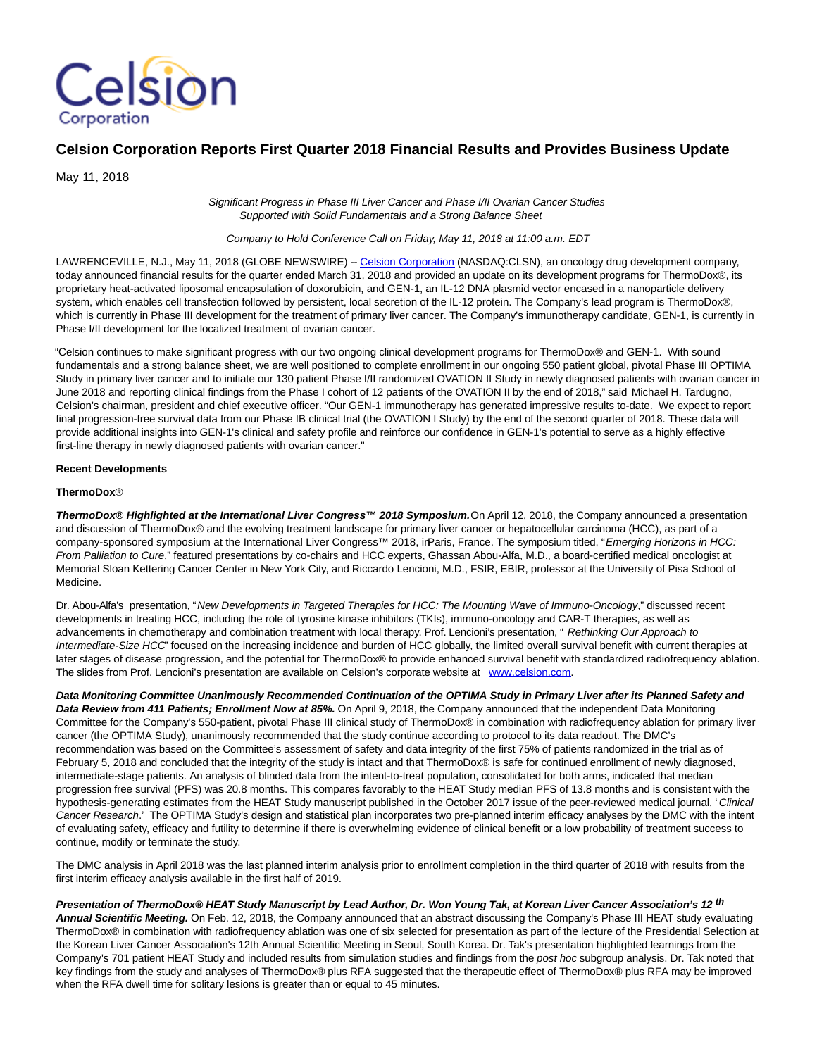

# **Celsion Corporation Reports First Quarter 2018 Financial Results and Provides Business Update**

May 11, 2018

Significant Progress in Phase III Liver Cancer and Phase I/II Ovarian Cancer Studies Supported with Solid Fundamentals and a Strong Balance Sheet

Company to Hold Conference Call on Friday, May 11, 2018 at 11:00 a.m. EDT

LAWRENCEVILLE, N.J., May 11, 2018 (GLOBE NEWSWIRE) -[- Celsion Corporation \(](https://www.globenewswire.com/Tracker?data=LC5bp9gXF0fhZq8q2tr4HCy4CBzuP6IbkxX7Y-vzENNeq3sQngPG_v5JPaZwb6aTSRsGYbID632iJWMMEwKglQ==)NASDAQ:CLSN), an oncology drug development company, today announced financial results for the quarter ended March 31, 2018 and provided an update on its development programs for ThermoDox®, its proprietary heat-activated liposomal encapsulation of doxorubicin, and GEN-1, an IL-12 DNA plasmid vector encased in a nanoparticle delivery system, which enables cell transfection followed by persistent, local secretion of the IL-12 protein. The Company's lead program is ThermoDox®, which is currently in Phase III development for the treatment of primary liver cancer. The Company's immunotherapy candidate, GEN-1, is currently in Phase I/II development for the localized treatment of ovarian cancer.

"Celsion continues to make significant progress with our two ongoing clinical development programs for ThermoDox® and GEN-1. With sound fundamentals and a strong balance sheet, we are well positioned to complete enrollment in our ongoing 550 patient global, pivotal Phase III OPTIMA Study in primary liver cancer and to initiate our 130 patient Phase I/II randomized OVATION II Study in newly diagnosed patients with ovarian cancer in June 2018 and reporting clinical findings from the Phase I cohort of 12 patients of the OVATION II by the end of 2018," said Michael H. Tardugno, Celsion's chairman, president and chief executive officer. "Our GEN-1 immunotherapy has generated impressive results to-date. We expect to report final progression-free survival data from our Phase IB clinical trial (the OVATION I Study) by the end of the second quarter of 2018. These data will provide additional insights into GEN-1's clinical and safety profile and reinforce our confidence in GEN-1's potential to serve as a highly effective first-line therapy in newly diagnosed patients with ovarian cancer."

#### **Recent Developments**

#### **ThermoDox**®

ThermoDox<sup>®</sup> Highlighted at the International Liver Congress™ 2018 Symposium. On April 12, 2018, the Company announced a presentation and discussion of ThermoDox® and the evolving treatment landscape for primary liver cancer or hepatocellular carcinoma (HCC), as part of a company-sponsored symposium at the International Liver Congress™ 2018, irParis, France. The symposium titled, "Emerging Horizons in HCC: From Palliation to Cure," featured presentations by co-chairs and HCC experts, Ghassan Abou-Alfa, M.D., a board-certified medical oncologist at Memorial Sloan Kettering Cancer Center in New York City, and Riccardo Lencioni, M.D., FSIR, EBIR, professor at the University of Pisa School of Medicine.

Dr. Abou-Alfa's presentation, "New Developments in Targeted Therapies for HCC: The Mounting Wave of Immuno-Oncology," discussed recent developments in treating HCC, including the role of tyrosine kinase inhibitors (TKIs), immuno-oncology and CAR-T therapies, as well as advancements in chemotherapy and combination treatment with local therapy. Prof. Lencioni's presentation, " Rethinking Our Approach to Intermediate-Size HCC" focused on the increasing incidence and burden of HCC globally, the limited overall survival benefit with current therapies at later stages of disease progression, and the potential for ThermoDox® to provide enhanced survival benefit with standardized radiofrequency ablation. The slides from Prof. Lencioni's presentation are available on Celsion's corporate website at [www.celsion.com.](https://www.globenewswire.com/Tracker?data=qG33VZ8M_qVN15nkeDRRgyxk77otBQ9fD5xYk4FkGh5tqrmV044iYvH1rR4aZY_BONTZP9BTo9SQ1Y2rFVFokuQexoWApoiYSYwcM7X6pn36ZbEKV1nX7a14q8lmcMcVyWRGBLxJ1Xe5QId2holB3OxY6ohxippGkmzEXlRylS6ObmQDME97MUbWCDf91_W0wbQ3_ZThRQXAfc5hBBbr58RY46I1K6oXx6P1sFLisZI=)

**Data Monitoring Committee Unanimously Recommended Continuation of the OPTIMA Study in Primary Liver after its Planned Safety and Data Review from 411 Patients; Enrollment Now at 85%.** On April 9, 2018, the Company announced that the independent Data Monitoring Committee for the Company's 550-patient, pivotal Phase III clinical study of ThermoDox® in combination with radiofrequency ablation for primary liver cancer (the OPTIMA Study), unanimously recommended that the study continue according to protocol to its data readout. The DMC's recommendation was based on the Committee's assessment of safety and data integrity of the first 75% of patients randomized in the trial as of February 5, 2018 and concluded that the integrity of the study is intact and that ThermoDox® is safe for continued enrollment of newly diagnosed, intermediate-stage patients. An analysis of blinded data from the intent-to-treat population, consolidated for both arms, indicated that median progression free survival (PFS) was 20.8 months. This compares favorably to the HEAT Study median PFS of 13.8 months and is consistent with the hypothesis-generating estimates from the HEAT Study manuscript published in the October 2017 issue of the peer-reviewed medical journal, ' Clinical Cancer Research.' The OPTIMA Study's design and statistical plan incorporates two pre-planned interim efficacy analyses by the DMC with the intent of evaluating safety, efficacy and futility to determine if there is overwhelming evidence of clinical benefit or a low probability of treatment success to continue, modify or terminate the study.

The DMC analysis in April 2018 was the last planned interim analysis prior to enrollment completion in the third quarter of 2018 with results from the first interim efficacy analysis available in the first half of 2019.

**Presentation of ThermoDox® HEAT Study Manuscript by Lead Author, Dr. Won Young Tak, at Korean Liver Cancer Association's 12 th Annual Scientific Meeting.** On Feb. 12, 2018, the Company announced that an abstract discussing the Company's Phase III HEAT study evaluating ThermoDox® in combination with radiofrequency ablation was one of six selected for presentation as part of the lecture of the Presidential Selection at the Korean Liver Cancer Association's 12th Annual Scientific Meeting in Seoul, South Korea. Dr. Tak's presentation highlighted learnings from the Company's 701 patient HEAT Study and included results from simulation studies and findings from the post hoc subgroup analysis. Dr. Tak noted that key findings from the study and analyses of ThermoDox® plus RFA suggested that the therapeutic effect of ThermoDox® plus RFA may be improved when the RFA dwell time for solitary lesions is greater than or equal to 45 minutes.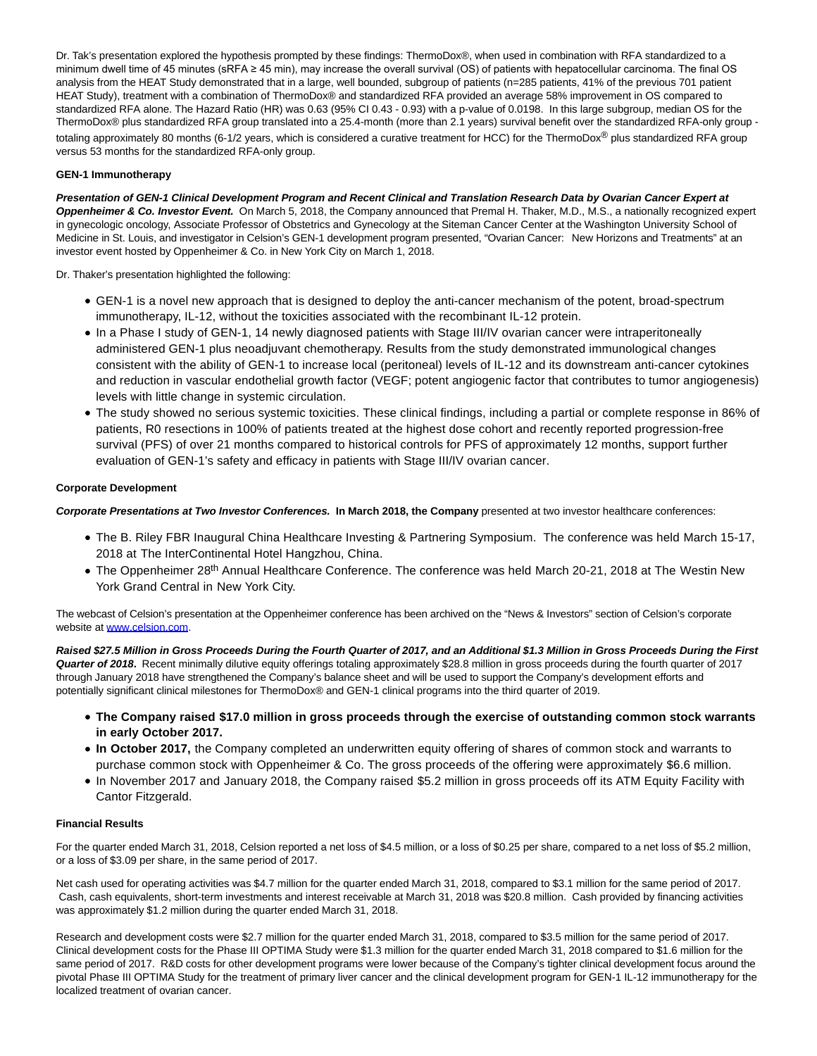Dr. Tak's presentation explored the hypothesis prompted by these findings: ThermoDox®, when used in combination with RFA standardized to a minimum dwell time of 45 minutes (sRFA ≥ 45 min), may increase the overall survival (OS) of patients with hepatocellular carcinoma. The final OS analysis from the HEAT Study demonstrated that in a large, well bounded, subgroup of patients (n=285 patients, 41% of the previous 701 patient HEAT Study), treatment with a combination of ThermoDox® and standardized RFA provided an average 58% improvement in OS compared to standardized RFA alone. The Hazard Ratio (HR) was 0.63 (95% CI 0.43 - 0.93) with a p-value of 0.0198. In this large subgroup, median OS for the ThermoDox® plus standardized RFA group translated into a 25.4-month (more than 2.1 years) survival benefit over the standardized RFA-only group totaling approximately 80 months (6-1/2 years, which is considered a curative treatment for HCC) for the ThermoDox® plus standardized RFA group versus 53 months for the standardized RFA-only group.

## **GEN-1 Immunotherapy**

**Presentation of GEN-1 Clinical Development Program and Recent Clinical and Translation Research Data by Ovarian Cancer Expert at Oppenheimer & Co. Investor Event.** On March 5, 2018, the Company announced that Premal H. Thaker, M.D., M.S., a nationally recognized expert in gynecologic oncology, Associate Professor of Obstetrics and Gynecology at the Siteman Cancer Center at the Washington University School of Medicine in St. Louis, and investigator in Celsion's GEN-1 development program presented, "Ovarian Cancer: New Horizons and Treatments" at an investor event hosted by Oppenheimer & Co. in New York City on March 1, 2018.

Dr. Thaker's presentation highlighted the following:

- GEN-1 is a novel new approach that is designed to deploy the anti-cancer mechanism of the potent, broad-spectrum immunotherapy, IL-12, without the toxicities associated with the recombinant IL-12 protein.
- In a Phase I study of GEN-1, 14 newly diagnosed patients with Stage III/IV ovarian cancer were intraperitoneally administered GEN-1 plus neoadjuvant chemotherapy. Results from the study demonstrated immunological changes consistent with the ability of GEN-1 to increase local (peritoneal) levels of IL-12 and its downstream anti-cancer cytokines and reduction in vascular endothelial growth factor (VEGF; potent angiogenic factor that contributes to tumor angiogenesis) levels with little change in systemic circulation.
- The study showed no serious systemic toxicities. These clinical findings, including a partial or complete response in 86% of patients, R0 resections in 100% of patients treated at the highest dose cohort and recently reported progression-free survival (PFS) of over 21 months compared to historical controls for PFS of approximately 12 months, support further evaluation of GEN-1's safety and efficacy in patients with Stage III/IV ovarian cancer.

# **Corporate Development**

**Corporate Presentations at Two Investor Conferences. In March 2018, the Company** presented at two investor healthcare conferences:

- The B. Riley FBR Inaugural China Healthcare Investing & Partnering Symposium. The conference was held March 15-17, 2018 at The InterContinental Hotel Hangzhou, China.
- The Oppenheimer 28<sup>th</sup> Annual Healthcare Conference. The conference was held March 20-21, 2018 at The Westin New York Grand Central in New York City.

The webcast of Celsion's presentation at the Oppenheimer conference has been archived on the "News & Investors" section of Celsion's corporate website at [www.celsion.com.](https://www.globenewswire.com/Tracker?data=qG33VZ8M_qVN15nkeDRRg5dQ1HNW9Vv-IUEF-VqV_Mldv63GhprNSE-D-Tom67Ml-YQ-RWMHUqoXKhEDsCXyyIyMT2F59R4AeUbxS4wHN2JwJJ_gTTYX6dia4NlLG-5sO5J2VtEIBYhPB7KilnuT_tjcEpKDBPM4J1Pdw1DXthPMAY4eBo4nwialwDBm7_vMOR5sEAvJthh3lH5V-MQQ50iRYlLIXslLsbdyN12-xEk=)

**Raised \$27.5 Million in Gross Proceeds During the Fourth Quarter of 2017, and an Additional \$1.3 Million in Gross Proceeds During the First Quarter of 2018.** Recent minimally dilutive equity offerings totaling approximately \$28.8 million in gross proceeds during the fourth quarter of 2017 through January 2018 have strengthened the Company's balance sheet and will be used to support the Company's development efforts and potentially significant clinical milestones for ThermoDox® and GEN-1 clinical programs into the third quarter of 2019.

- **The Company raised \$17.0 million in gross proceeds through the exercise of outstanding common stock warrants in early October 2017.**
- **In October 2017,** the Company completed an underwritten equity offering of shares of common stock and warrants to purchase common stock with Oppenheimer & Co. The gross proceeds of the offering were approximately \$6.6 million.
- In November 2017 and January 2018, the Company raised \$5.2 million in gross proceeds off its ATM Equity Facility with Cantor Fitzgerald.

## **Financial Results**

For the quarter ended March 31, 2018, Celsion reported a net loss of \$4.5 million, or a loss of \$0.25 per share, compared to a net loss of \$5.2 million, or a loss of \$3.09 per share, in the same period of 2017.

Net cash used for operating activities was \$4.7 million for the quarter ended March 31, 2018, compared to \$3.1 million for the same period of 2017. Cash, cash equivalents, short-term investments and interest receivable at March 31, 2018 was \$20.8 million. Cash provided by financing activities was approximately \$1.2 million during the quarter ended March 31, 2018.

Research and development costs were \$2.7 million for the quarter ended March 31, 2018, compared to \$3.5 million for the same period of 2017. Clinical development costs for the Phase III OPTIMA Study were \$1.3 million for the quarter ended March 31, 2018 compared to \$1.6 million for the same period of 2017. R&D costs for other development programs were lower because of the Company's tighter clinical development focus around the pivotal Phase III OPTIMA Study for the treatment of primary liver cancer and the clinical development program for GEN-1 IL-12 immunotherapy for the localized treatment of ovarian cancer.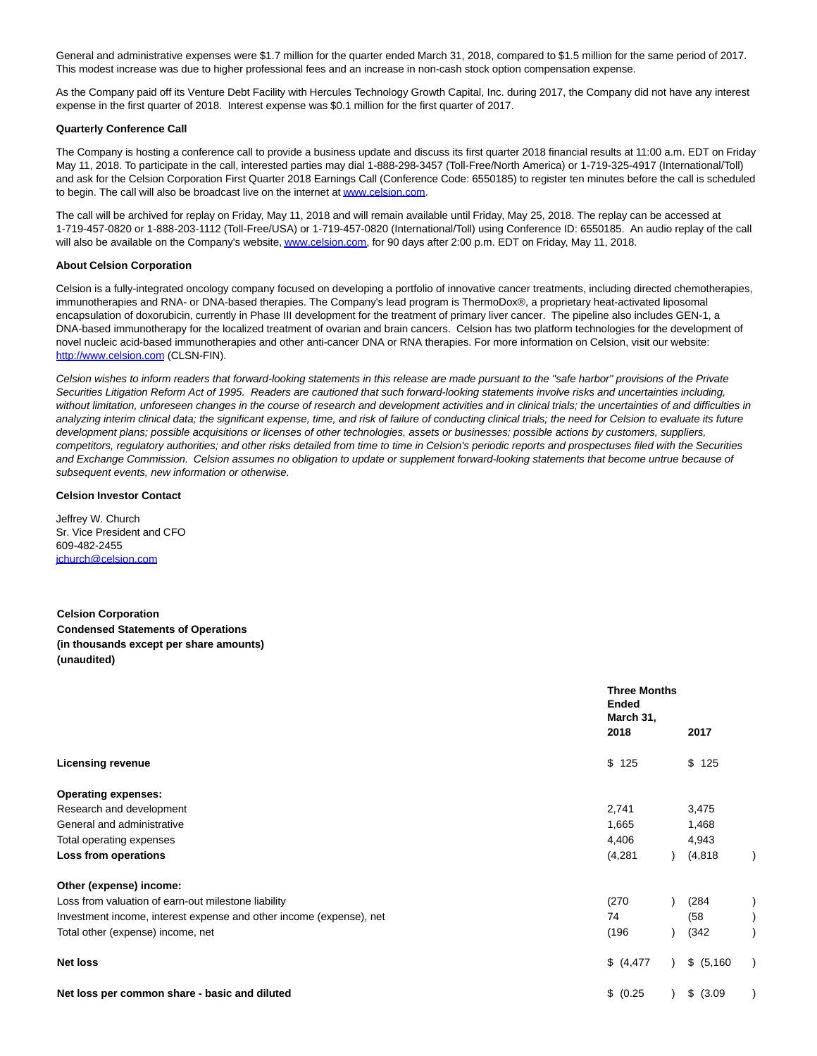General and administrative expenses were \$1.7 million for the quarter ended March 31, 2018, compared to \$1.5 million for the same period of 2017. This modest increase was due to higher professional fees and an increase in non-cash stock option compensation expense.

As the Company paid off its Venture Debt Facility with Hercules Technology Growth Capital, Inc. during 2017, the Company did not have any interest expense in the first quarter of 2018. Interest expense was \$0.1 million for the first quarter of 2017.

#### **Quarterly Conference Call**

The Company is hosting a conference call to provide a business update and discuss its first quarter 2018 financial results at 11:00 a.m. EDT on Friday May 11, 2018. To participate in the call, interested parties may dial 1-888-298-3457 (Toll-Free/North America) or 1-719-325-4917 (International/Toll) and ask for the Celsion Corporation First Quarter 2018 Earnings Call (Conference Code: 6550185) to register ten minutes before the call is scheduled to begin. The call will also be broadcast live on the internet a[t www.celsion.com.](https://www.globenewswire.com/Tracker?data=qG33VZ8M_qVN15nkeDRRgxq4RDXt7GqcLRJdjYtsTMpwPI0PEGTO-twBEs97UkbT-xarR0qcpo6_Z47qloXkTg==)

The call will be archived for replay on Friday, May 11, 2018 and will remain available until Friday, May 25, 2018. The replay can be accessed at 1-719-457-0820 or 1-888-203-1112 (Toll-Free/USA) or 1-719-457-0820 (International/Toll) using Conference ID: 6550185. An audio replay of the call will also be available on the Company's website[, www.celsion.com,](https://www.globenewswire.com/Tracker?data=qG33VZ8M_qVN15nkeDRRg8BndqD11XIGYyVXAgw0-FuuSEQtWhbkyxOfOMbnxD5HysLL97R-1XrWKtKocd__aQ==) for 90 days after 2:00 p.m. EDT on Friday, May 11, 2018.

#### **About Celsion Corporation**

Celsion is a fully-integrated oncology company focused on developing a portfolio of innovative cancer treatments, including directed chemotherapies, immunotherapies and RNA- or DNA-based therapies. The Company's lead program is ThermoDox®, a proprietary heat-activated liposomal encapsulation of doxorubicin, currently in Phase III development for the treatment of primary liver cancer. The pipeline also includes GEN-1, a DNA-based immunotherapy for the localized treatment of ovarian and brain cancers. Celsion has two platform technologies for the development of novel nucleic acid-based immunotherapies and other anti-cancer DNA or RNA therapies. For more information on Celsion, visit our website: [http://www.celsion.com \(](https://www.globenewswire.com/Tracker?data=f2uOZQFgqJxV1V8C6Yg1TzhlgNUsovps-GvxYNe7frYS0_oJKOPBL6wiVKqZBx0aiqiDisd7O86PD76c258DJYESy1qRRSQ6XwUFpeNs0rU=)CLSN-FIN).

Celsion wishes to inform readers that forward-looking statements in this release are made pursuant to the "safe harbor" provisions of the Private Securities Litigation Reform Act of 1995. Readers are cautioned that such forward-looking statements involve risks and uncertainties including, without limitation, unforeseen changes in the course of research and development activities and in clinical trials; the uncertainties of and difficulties in analyzing interim clinical data; the significant expense, time, and risk of failure of conducting clinical trials; the need for Celsion to evaluate its future development plans; possible acquisitions or licenses of other technologies, assets or businesses; possible actions by customers, suppliers, competitors, regulatory authorities; and other risks detailed from time to time in Celsion's periodic reports and prospectuses filed with the Securities and Exchange Commission. Celsion assumes no obligation to update or supplement forward-looking statements that become untrue because of subsequent events, new information or otherwise.

#### **Celsion Investor Contact**

Jeffrey W. Church Sr. Vice President and CFO 609-482-2455 [jchurch@celsion.com](https://www.globenewswire.com/Tracker?data=L6l0xTMTobBi4adAEBXTc3S8Aa1e1NwIJxk4Xav6lT4d1qcqH5qjHmeoJsCwln0QojGRpvvttIVVdWP-_4M8WDWNzNsDVyw92q2NAUMmGTs=)

# **Celsion Corporation Condensed Statements of Operations (in thousands except per share amounts) (unaudited)**

|                                                                     | <b>Three Months</b><br><b>Ended</b><br>March 31, |  |            |  |
|---------------------------------------------------------------------|--------------------------------------------------|--|------------|--|
|                                                                     | 2018                                             |  | 2017       |  |
| <b>Licensing revenue</b>                                            | \$125                                            |  | \$<br>125  |  |
| <b>Operating expenses:</b>                                          |                                                  |  |            |  |
| Research and development                                            | 2,741                                            |  | 3,475      |  |
| General and administrative                                          | 1,665                                            |  | 1,468      |  |
| Total operating expenses                                            | 4,406                                            |  | 4,943      |  |
| Loss from operations                                                | (4,281)                                          |  | (4,818)    |  |
| Other (expense) income:                                             |                                                  |  |            |  |
| Loss from valuation of earn-out milestone liability                 | (270)                                            |  | (284)      |  |
| Investment income, interest expense and other income (expense), net | 74                                               |  | (58)       |  |
| Total other (expense) income, net                                   | (196)                                            |  | (342)      |  |
| <b>Net loss</b>                                                     | \$ (4,477)                                       |  | \$ (5,160) |  |
| Net loss per common share - basic and diluted                       | \$ (0.25)                                        |  | \$ (3.09)  |  |